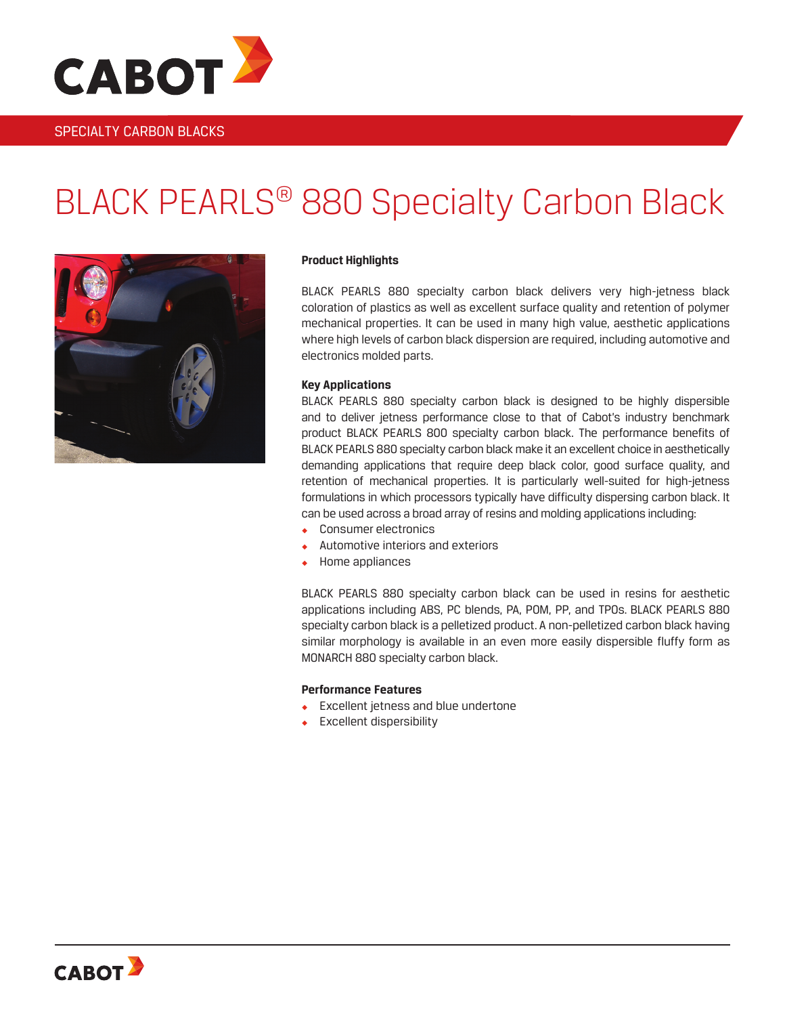

### SPECIALTY CARBON BLACKS

# BLACK PEARLS® 880 Specialty Carbon Black



#### **Product Highlights**

BLACK PEARLS 880 specialty carbon black delivers very high-jetness black coloration of plastics as well as excellent surface quality and retention of polymer mechanical properties. It can be used in many high value, aesthetic applications where high levels of carbon black dispersion are required, including automotive and electronics molded parts.

#### **Key Applications**

BLACK PEARLS 880 specialty carbon black is designed to be highly dispersible and to deliver jetness performance close to that of Cabot's industry benchmark product BLACK PEARLS 800 specialty carbon black. The performance benefits of BLACK PEARLS 880 specialty carbon black make it an excellent choice in aesthetically demanding applications that require deep black color, good surface quality, and retention of mechanical properties. It is particularly well-suited for high-jetness formulations in which processors typically have difficulty dispersing carbon black. It can be used across a broad array of resins and molding applications including:

- Consumer electronics
- Automotive interiors and exteriors
- Home appliances

BLACK PEARLS 880 specialty carbon black can be used in resins for aesthetic applications including ABS, PC blends, PA, POM, PP, and TPOs. BLACK PEARLS 880 specialty carbon black is a pelletized product. A non-pelletized carbon black having similar morphology is available in an even more easily dispersible fluffy form as MONARCH 880 specialty carbon black.

#### **Performance Features**

- **Excellent jetness and blue undertone**
- **Excellent dispersibility**